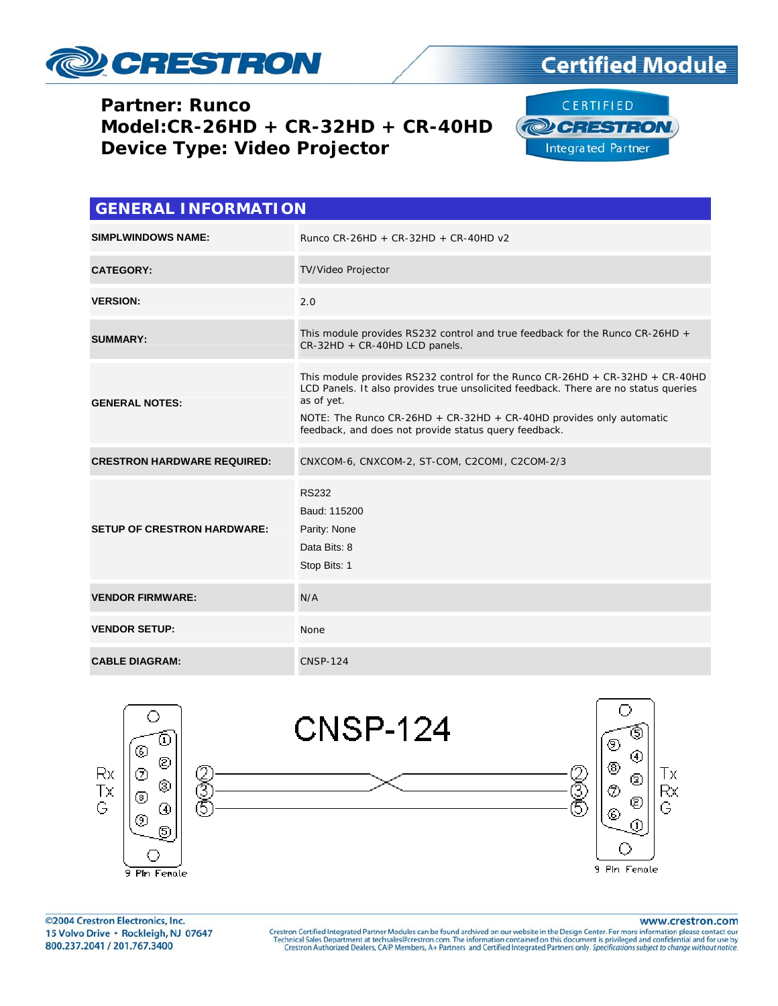

### **Certified Module**

#### **Partner: Runco** Model:CR-26HD + CR-32HD + CR-40HD **Device Type: Video Projector**



| <b>GENERAL INFORMATION</b>         |                                                                                                                                                                                                                                                                                                                     |  |  |  |
|------------------------------------|---------------------------------------------------------------------------------------------------------------------------------------------------------------------------------------------------------------------------------------------------------------------------------------------------------------------|--|--|--|
| <b>SIMPLWINDOWS NAME:</b>          | Runco CR-26HD + CR-32HD + CR-40HD $v2$                                                                                                                                                                                                                                                                              |  |  |  |
| <b>CATEGORY:</b>                   | TV/Video Projector                                                                                                                                                                                                                                                                                                  |  |  |  |
| <b>VERSION:</b>                    | 2.0                                                                                                                                                                                                                                                                                                                 |  |  |  |
| <b>SUMMARY:</b>                    | This module provides RS232 control and true feedback for the Runco CR-26HD +<br>CR-32HD + CR-40HD LCD panels.                                                                                                                                                                                                       |  |  |  |
| <b>GENERAL NOTES:</b>              | This module provides RS232 control for the Runco $CR-26HD + CR-32HD + CR-40HD$<br>LCD Panels. It also provides true unsolicited feedback. There are no status queries<br>as of yet.<br>NOTE: The Runco CR-26HD + CR-32HD + CR-40HD provides only automatic<br>feedback, and does not provide status query feedback. |  |  |  |
| <b>CRESTRON HARDWARE REQUIRED:</b> | CNXCOM-6, CNXCOM-2, ST-COM, C2COMI, C2COM-2/3                                                                                                                                                                                                                                                                       |  |  |  |
| <b>SETUP OF CRESTRON HARDWARE:</b> | <b>RS232</b><br>Baud: 115200<br>Parity: None<br>Data Bits: 8<br>Stop Bits: 1                                                                                                                                                                                                                                        |  |  |  |
| <b>VENDOR FIRMWARE:</b>            | N/A                                                                                                                                                                                                                                                                                                                 |  |  |  |
| <b>VENDOR SETUP:</b>               | None                                                                                                                                                                                                                                                                                                                |  |  |  |
| <b>CABLE DIAGRAM:</b>              | <b>CNSP-124</b>                                                                                                                                                                                                                                                                                                     |  |  |  |



©2004 Crestron Electronics, Inc. 15 Volvo Drive · Rockleigh, NJ 07647 800.237.2041 / 201.767.3400

www.crestron.com

Crestron Certified Integrated Partner Modules can be found archived on our website in the Design Center. For more information please contact our Technical Sales Department at techsales@crestron.com. The information contain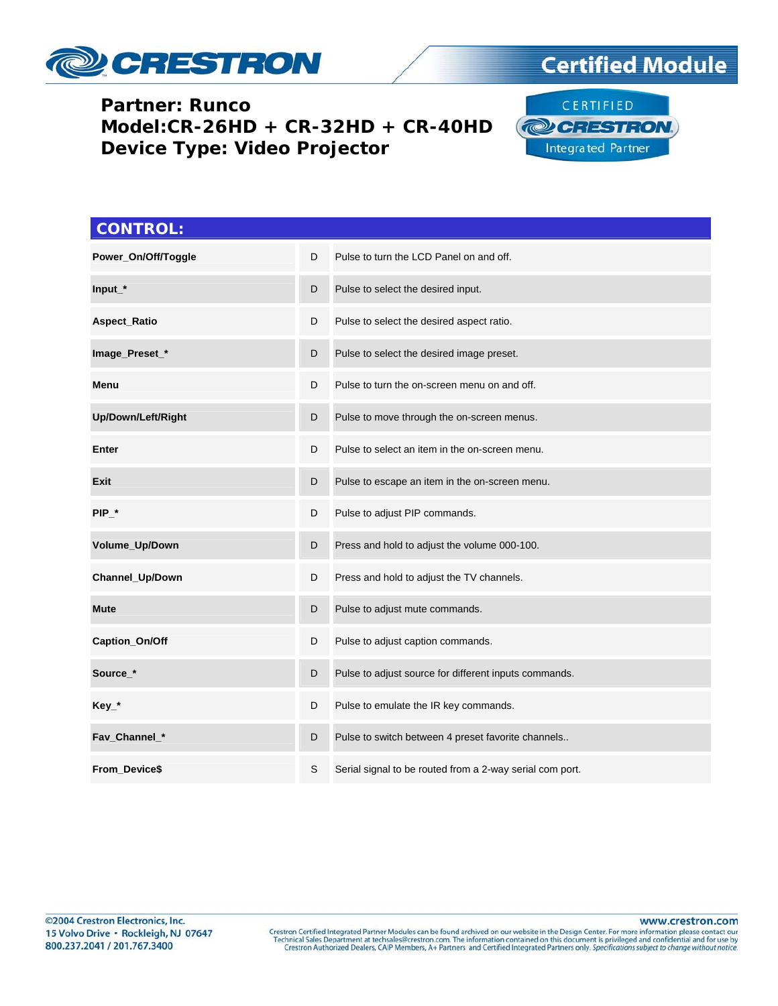

# **Certified Module**

#### **Partner: Runco Model:CR-26HD + CR-32HD + CR-40HD Device Type: Video Projector**



| <b>CONTROL:</b>     |   |                                                          |
|---------------------|---|----------------------------------------------------------|
| Power_On/Off/Toggle | D | Pulse to turn the LCD Panel on and off.                  |
| Input_*             | D | Pulse to select the desired input.                       |
| <b>Aspect_Ratio</b> | D | Pulse to select the desired aspect ratio.                |
| Image_Preset_*      | D | Pulse to select the desired image preset.                |
| Menu                | D | Pulse to turn the on-screen menu on and off.             |
| Up/Down/Left/Right  | D | Pulse to move through the on-screen menus.               |
| Enter               | D | Pulse to select an item in the on-screen menu.           |
| Exit                | D | Pulse to escape an item in the on-screen menu.           |
| $PIP_$              | D | Pulse to adjust PIP commands.                            |
| Volume_Up/Down      | D | Press and hold to adjust the volume 000-100.             |
| Channel_Up/Down     | D | Press and hold to adjust the TV channels.                |
| <b>Mute</b>         | D | Pulse to adjust mute commands.                           |
| Caption_On/Off      | D | Pulse to adjust caption commands.                        |
| Source_*            | D | Pulse to adjust source for different inputs commands.    |
| $Key_*$             | D | Pulse to emulate the IR key commands.                    |
| Fav_Channel_*       | D | Pulse to switch between 4 preset favorite channels       |
| From_Device\$       | S | Serial signal to be routed from a 2-way serial com port. |

www.crestron.com Crestron Certified Integrated Partner Modules can be found archived on our website in the Design Center. For more information please contact our Technical Sales Department at techsales@crestron.com. The information contain